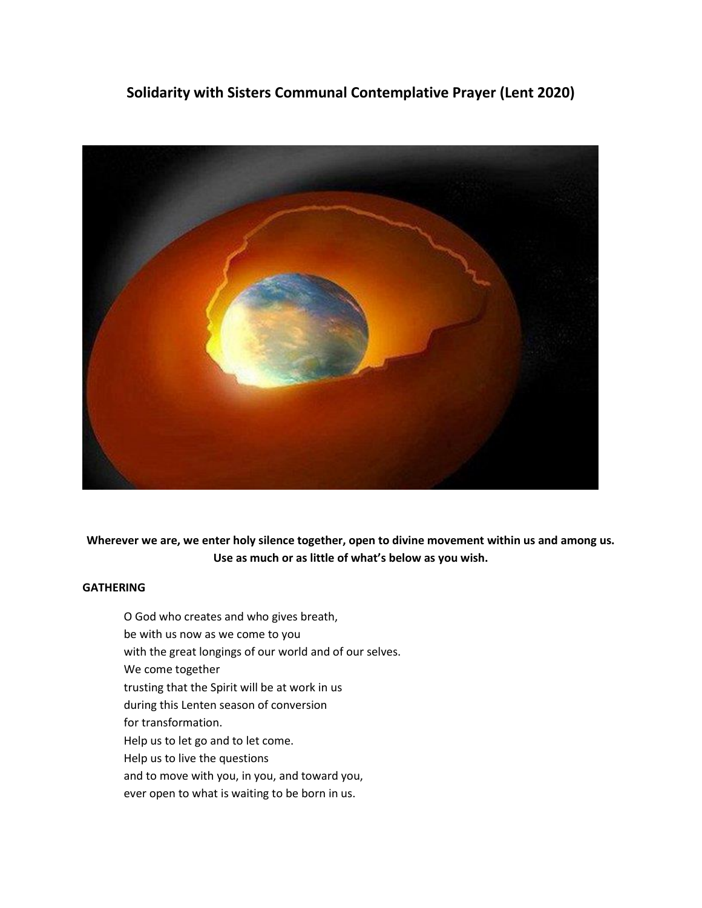# **Solidarity with Sisters Communal Contemplative Prayer (Lent 2020)**



**Wherever we are, we enter holy silence together, open to divine movement within us and among us. Use as much or as little of what's below as you wish.**

# **GATHERING**

O God who creates and who gives breath, be with us now as we come to you with the great longings of our world and of our selves. We come together trusting that the Spirit will be at work in us during this Lenten season of conversion for transformation. Help us to let go and to let come. Help us to live the questions and to move with you, in you, and toward you, ever open to what is waiting to be born in us.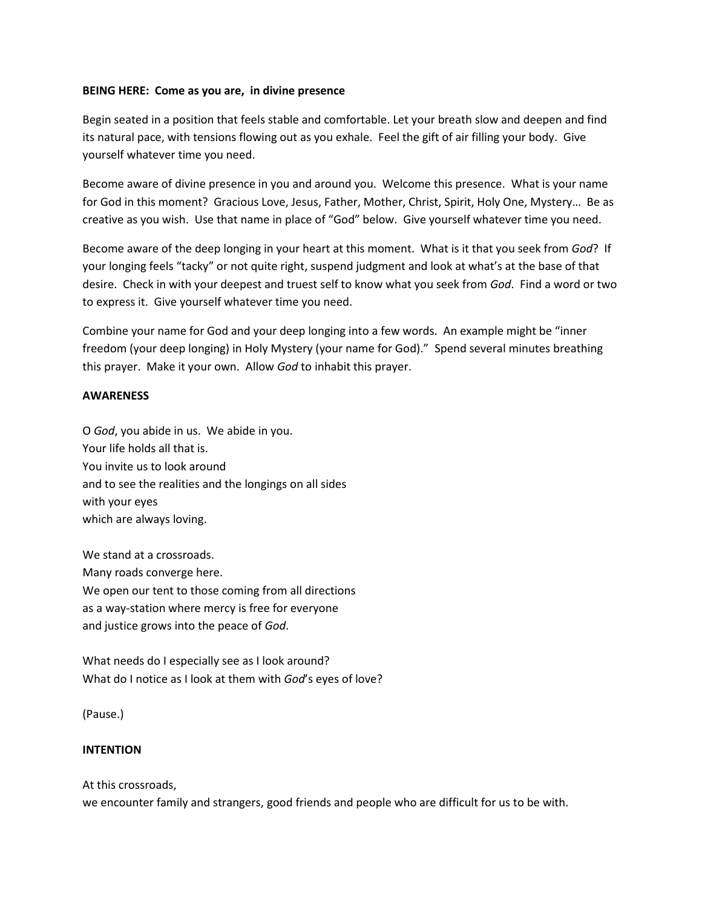## **BEING HERE: Come as you are, in divine presence**

Begin seated in a position that feels stable and comfortable. Let your breath slow and deepen and find its natural pace, with tensions flowing out as you exhale. Feel the gift of air filling your body. Give yourself whatever time you need.

Become aware of divine presence in you and around you. Welcome this presence. What is your name for God in this moment? Gracious Love, Jesus, Father, Mother, Christ, Spirit, Holy One, Mystery… Be as creative as you wish. Use that name in place of "God" below. Give yourself whatever time you need.

Become aware of the deep longing in your heart at this moment. What is it that you seek from *God*? If your longing feels "tacky" or not quite right, suspend judgment and look at what's at the base of that desire. Check in with your deepest and truest self to know what you seek from *God*. Find a word or two to express it. Give yourself whatever time you need.

Combine your name for God and your deep longing into a few words. An example might be "inner freedom (your deep longing) in Holy Mystery (your name for God)." Spend several minutes breathing this prayer. Make it your own. Allow *God* to inhabit this prayer.

## **AWARENESS**

O *God*, you abide in us. We abide in you. Your life holds all that is. You invite us to look around and to see the realities and the longings on all sides with your eyes which are always loving.

We stand at a crossroads. Many roads converge here. We open our tent to those coming from all directions as a way-station where mercy is free for everyone and justice grows into the peace of *God*.

What needs do I especially see as I look around? What do I notice as I look at them with *God*'s eyes of love?

(Pause.)

# **INTENTION**

At this crossroads,

we encounter family and strangers, good friends and people who are difficult for us to be with.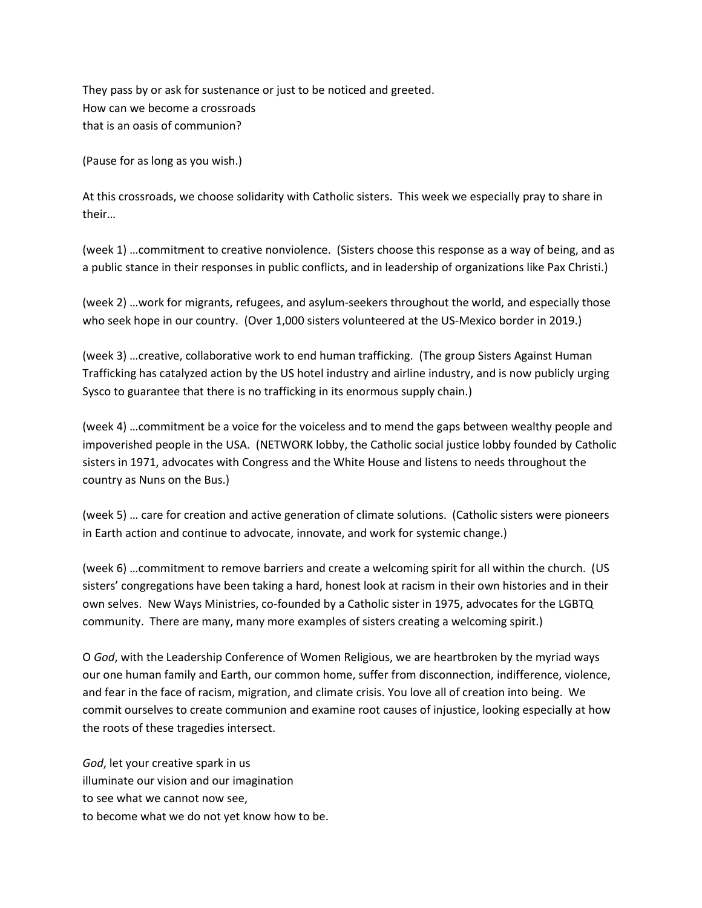They pass by or ask for sustenance or just to be noticed and greeted. How can we become a crossroads that is an oasis of communion?

(Pause for as long as you wish.)

At this crossroads, we choose solidarity with Catholic sisters. This week we especially pray to share in their…

(week 1) …commitment to creative nonviolence. (Sisters choose this response as a way of being, and as a public stance in their responses in public conflicts, and in leadership of organizations like Pax Christi.)

(week 2) …work for migrants, refugees, and asylum-seekers throughout the world, and especially those who seek hope in our country. (Over 1,000 sisters volunteered at the US-Mexico border in 2019.)

(week 3) …creative, collaborative work to end human trafficking. (The group Sisters Against Human Trafficking has catalyzed action by the US hotel industry and airline industry, and is now publicly urging Sysco to guarantee that there is no trafficking in its enormous supply chain.)

(week 4) …commitment be a voice for the voiceless and to mend the gaps between wealthy people and impoverished people in the USA. (NETWORK lobby, the Catholic social justice lobby founded by Catholic sisters in 1971, advocates with Congress and the White House and listens to needs throughout the country as Nuns on the Bus.)

(week 5) … care for creation and active generation of climate solutions. (Catholic sisters were pioneers in Earth action and continue to advocate, innovate, and work for systemic change.)

(week 6) …commitment to remove barriers and create a welcoming spirit for all within the church. (US sisters' congregations have been taking a hard, honest look at racism in their own histories and in their own selves. New Ways Ministries, co-founded by a Catholic sister in 1975, advocates for the LGBTQ community. There are many, many more examples of sisters creating a welcoming spirit.)

O *God*, with the Leadership Conference of Women Religious, we are heartbroken by the myriad ways our one human family and Earth, our common home, suffer from disconnection, indifference, violence, and fear in the face of racism, migration, and climate crisis. You love all of creation into being. We commit ourselves to create communion and examine root causes of injustice, looking especially at how the roots of these tragedies intersect.

*God*, let your creative spark in us illuminate our vision and our imagination to see what we cannot now see, to become what we do not yet know how to be.